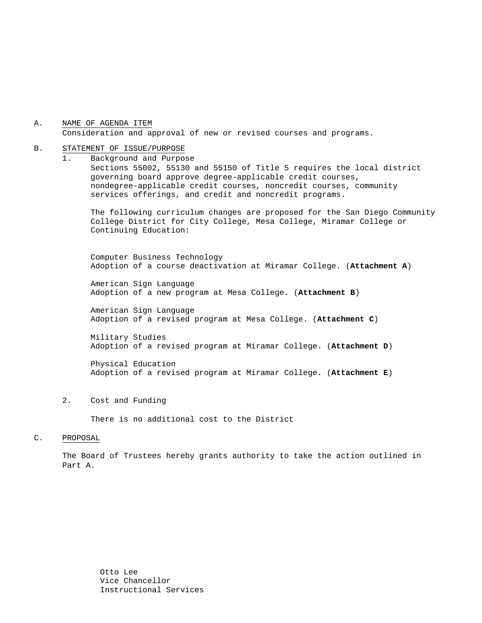A. NAME OF AGENDA ITEM Consideration and approval of new or revised courses and programs.

#### B. STATEMENT OF ISSUE/PURPOSE

1. Background and Purpose Sections 55002, 55130 and 55150 of Title 5 requires the local district governing board approve degree-applicable credit courses, nondegree-applicable credit courses, noncredit courses, community services offerings, and credit and noncredit programs.

The following curriculum changes are proposed for the San Diego Community College District for City College, Mesa College, Miramar College or Continuing Education:

 Computer Business Technology Adoption of a course deactivation at Miramar College. (**Attachment A**)

American Sign Language Adoption of a new program at Mesa College. (**Attachment B**)

American Sign Language Adoption of a revised program at Mesa College. (**Attachment C**)

Military Studies Adoption of a revised program at Miramar College. (**Attachment D**)

Physical Education Adoption of a revised program at Miramar College. (**Attachment E**)

2. Cost and Funding

There is no additional cost to the District

#### C. PROPOSAL

The Board of Trustees hereby grants authority to take the action outlined in Part A.

> Otto Lee Vice Chancellor Instructional Services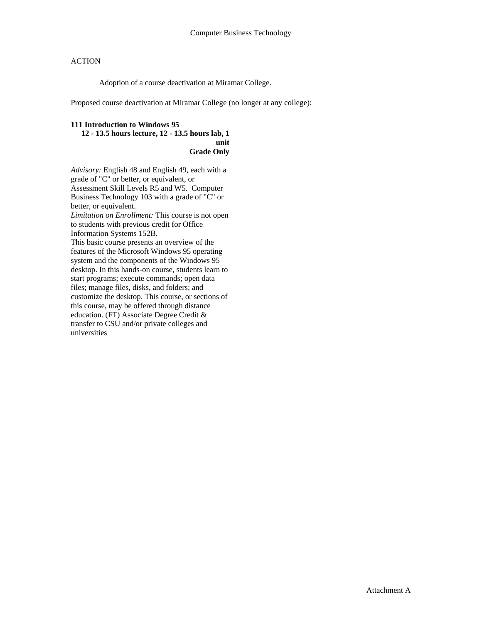Adoption of a course deactivation at Miramar College.

Proposed course deactivation at Miramar College (no longer at any college):

### **111 Introduction to Windows 95**

#### **12 - 13.5 hours lecture, 12 - 13.5 hours lab, 1 unit Grade Only**

*Advisory:* English 48 and English 49, each with a grade of "C" or better, or equivalent, or Assessment Skill Levels R5 and W5. Computer Business Technology 103 with a grade of "C" or better, or equivalent. *Limitation on Enrollment:* This course is not open to students with previous credit for Office Information Systems 152B. This basic course presents an overview of the features of the Microsoft Windows 95 operating system and the components of the Windows 95 desktop. In this hands-on course, students learn to start programs; execute commands; open data files; manage files, disks, and folders; and customize the desktop. This course, or sections of this course, may be offered through distance education. (FT) Associate Degree Credit & transfer to CSU and/or private colleges and universities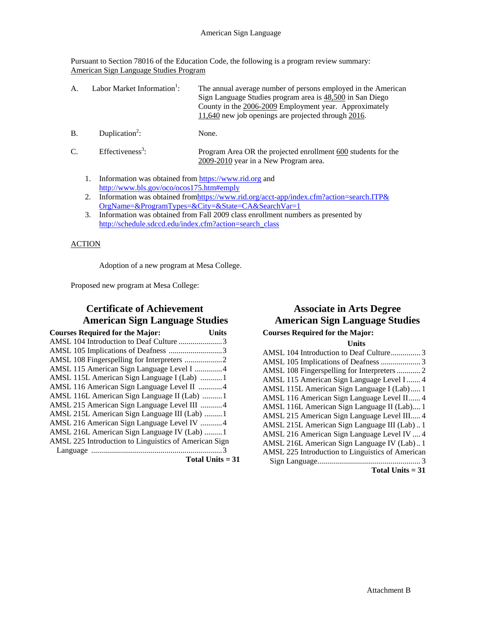Pursuant to Section 78016 of the Education Code, the following is a program review summary: American Sign Language Studies Program

| $\mathsf{A}$ . | Labor Market Information <sup>1</sup> : | The annual average number of persons employed in the American<br>Sign Language Studies program area is 48,500 in San Diego<br>County in the 2006-2009 Employment year. Approximately<br>11,640 new job openings are projected through 2016. |
|----------------|-----------------------------------------|---------------------------------------------------------------------------------------------------------------------------------------------------------------------------------------------------------------------------------------------|
| <b>B.</b>      | Duplication <sup>2</sup> :              | None.                                                                                                                                                                                                                                       |
| $C_{\cdot}$    | Effectiveness <sup>3</sup> :            | Program Area OR the projected enrollment 600 students for the<br>2009-2010 year in a New Program area.                                                                                                                                      |

- 1. Information was obtained from https://www.rid.org and http://www.bls.gov/oco/ocos175.htm#emply
- 2. Information was obtained from https://www.rid.org/acct-app/index.cfm?action=search.ITP& OrgName=&ProgramTypes=&City=&State=CA&SearchVar=1
- 3. Information was obtained from Fall 2009 class enrollment numbers as presented by http://schedule.sdccd.edu/index.cfm?action=search\_class

### ACTION

Adoption of a new program at Mesa College.

Proposed new program at Mesa College:

## **Certificate of Achievement American Sign Language Studies**

| <b>Courses Required for the Major:</b>                | Units |
|-------------------------------------------------------|-------|
| AMSL 104 Introduction to Deaf Culture 3               |       |
| AMSL 105 Implications of Deafness 3                   |       |
|                                                       |       |
| AMSL 115 American Sign Language Level I 4             |       |
| AMSL 115L American Sign Language I (Lab) 1            |       |
| AMSL 116 American Sign Language Level II 4            |       |
| AMSL 116L American Sign Language II (Lab) 1           |       |
| AMSL 215 American Sign Language Level III 4           |       |
| AMSL 215L American Sign Language III (Lab) 1          |       |
| AMSL 216 American Sign Language Level IV 4            |       |
| AMSL 216L American Sign Language IV (Lab) 1           |       |
| AMSL 225 Introduction to Linguistics of American Sign |       |
|                                                       |       |

**Total Units = 31** 

# **Associate in Arts Degree American Sign Language Studies**

**Courses Required for the Major:** 

| Units                                            |
|--------------------------------------------------|
| AMSL 104 Introduction to Deaf Culture 3          |
|                                                  |
| AMSL 108 Fingerspelling for Interpreters  2      |
| AMSL 115 American Sign Language Level I  4       |
| AMSL 115L American Sign Language I (Lab) 1       |
| AMSL 116 American Sign Language Level II 4       |
| AMSL 116L American Sign Language II (Lab) 1      |
| AMSL 215 American Sign Language Level III 4      |
| AMSL 215L American Sign Language III (Lab)1      |
| AMSL 216 American Sign Language Level IV  4      |
| AMSL 216L American Sign Language IV (Lab)1       |
| AMSL 225 Introduction to Linguistics of American |
|                                                  |
| Total Units $= 31$                               |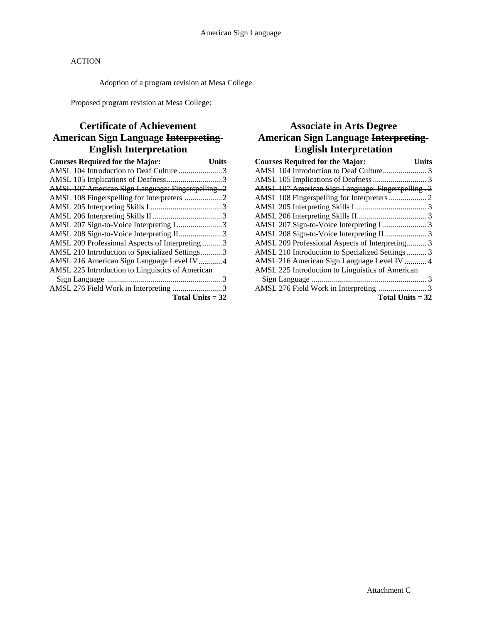Adoption of a program revision at Mesa College.

Proposed program revision at Mesa College:

## **Certificate of Achievement American Sign Language Interpreting-English Interpretation**

| <b>Courses Required for the Major:</b>                  | Units |
|---------------------------------------------------------|-------|
| AMSL 104 Introduction to Deaf Culture 3                 |       |
|                                                         |       |
| <b>AMSL 107 American Sign Language: Fingerspelling2</b> |       |
| AMSL 108 Fingerspelling for Interpreters 2              |       |
|                                                         |       |
|                                                         |       |
| AMSL 207 Sign-to-Voice Interpreting I3                  |       |
| AMSL 208 Sign-to-Voice Interpreting II3                 |       |
| AMSL 209 Professional Aspects of Interpreting3          |       |
| AMSL 210 Introduction to Specialized Settings3          |       |
| <b>AMSL 216 American Sign Language Level IV4</b>        |       |
| AMSL 225 Introduction to Linguistics of American        |       |
|                                                         |       |
| AMSL 276 Field Work in Interpreting 3                   |       |
| Total Units $=$ 32                                      |       |

## **Associate in Arts Degree American Sign Language Interpreting-English Interpretation**

| <b>Courses Required for the Major:</b>                    | Units |
|-----------------------------------------------------------|-------|
|                                                           |       |
|                                                           |       |
| <b>AMSL 107 American Sign Language: Fingerspelling. 2</b> |       |
| AMSL 108 Fingerspelling for Interpreters  2               |       |
|                                                           |       |
|                                                           |       |
|                                                           |       |
|                                                           |       |
| AMSL 209 Professional Aspects of Interpreting 3           |       |
| AMSL 210 Introduction to Specialized Settings  3          |       |
| AMSL 216 American Sign Language Level IV  4               |       |
| AMSL 225 Introduction to Linguistics of American          |       |
|                                                           |       |
|                                                           |       |
| Total Units $= 32$                                        |       |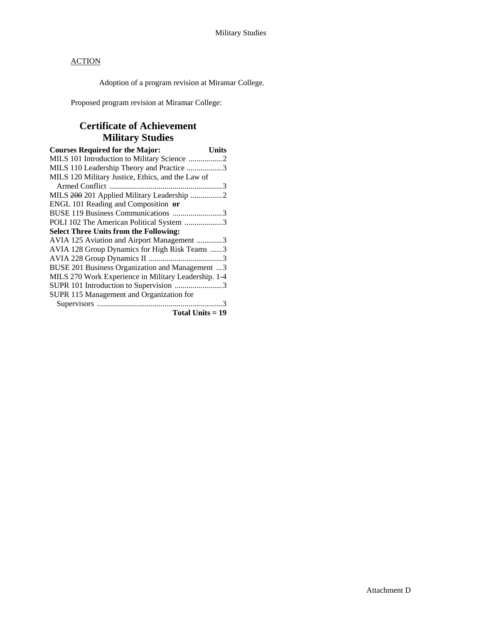Adoption of a program revision at Miramar College.

Proposed program revision at Miramar College:

# **Certificate of Achievement Military Studies**

| <b>Courses Required for the Major:</b>               | Units |
|------------------------------------------------------|-------|
| MILS 101 Introduction to Military Science 2          |       |
| MILS 110 Leadership Theory and Practice 3            |       |
| MILS 120 Military Justice, Ethics, and the Law of    |       |
|                                                      |       |
| MILS 200 201 Applied Military Leadership 2           |       |
| ENGL 101 Reading and Composition or                  |       |
| BUSE 119 Business Communications 3                   |       |
| POLI 102 The American Political System 3             |       |
| <b>Select Three Units from the Following:</b>        |       |
| AVIA 125 Aviation and Airport Management 3           |       |
| AVIA 128 Group Dynamics for High Risk Teams 3        |       |
|                                                      |       |
| BUSE 201 Business Organization and Management 3      |       |
| MILS 270 Work Experience in Military Leadership. 1-4 |       |
| SUPR 101 Introduction to Supervision 3               |       |
| SUPR 115 Management and Organization for             |       |
|                                                      |       |
| Total Units = 19                                     |       |